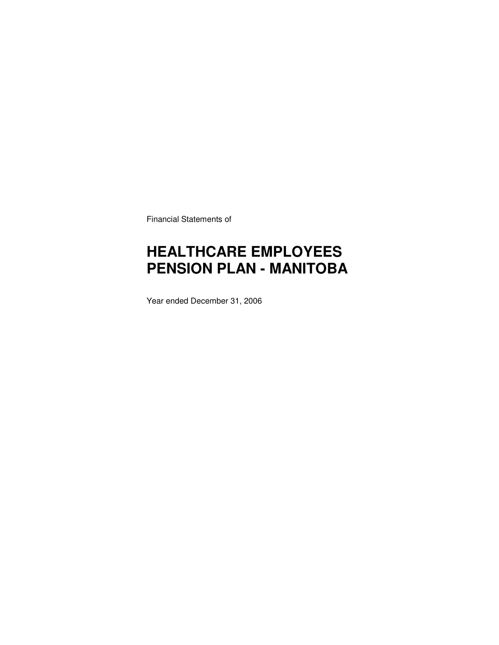Financial Statements of

# **HEALTHCARE EMPLOYEES PENSION PLAN - MANITOBA**

Year ended December 31, 2006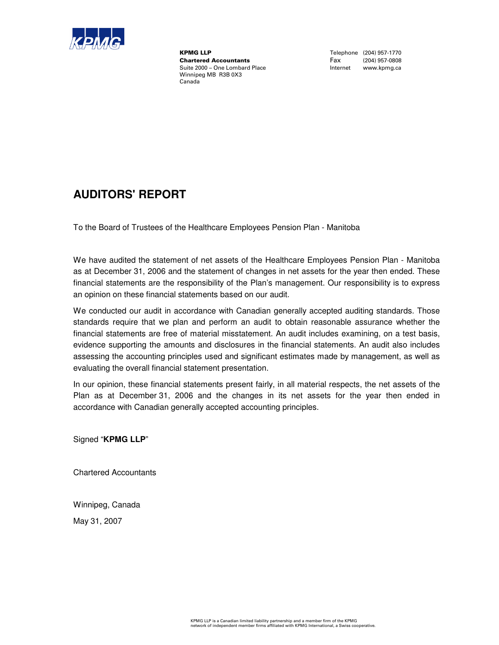

**KPMG LLP**<br>
Chartered Accountants<br>
Chartered Accountants<br>
Tax (204) 957-0808 **Chartered Accountants**<br>Suite 2000 - One Lombard Place Winnipeg MB R3B 0X3 Canada

Internet www.kpmg.ca

### **AUDITORS' REPORT**

To the Board of Trustees of the Healthcare Employees Pension Plan - Manitoba

We have audited the statement of net assets of the Healthcare Employees Pension Plan - Manitoba as at December 31, 2006 and the statement of changes in net assets for the year then ended. These financial statements are the responsibility of the Plan's management. Our responsibility is to express an opinion on these financial statements based on our audit.

We conducted our audit in accordance with Canadian generally accepted auditing standards. Those standards require that we plan and perform an audit to obtain reasonable assurance whether the financial statements are free of material misstatement. An audit includes examining, on a test basis, evidence supporting the amounts and disclosures in the financial statements. An audit also includes assessing the accounting principles used and significant estimates made by management, as well as evaluating the overall financial statement presentation.

In our opinion, these financial statements present fairly, in all material respects, the net assets of the Plan as at December 31, 2006 and the changes in its net assets for the year then ended in accordance with Canadian generally accepted accounting principles.

Signed "**KPMG LLP**"

Chartered Accountants

Winnipeg, Canada

May 31, 2007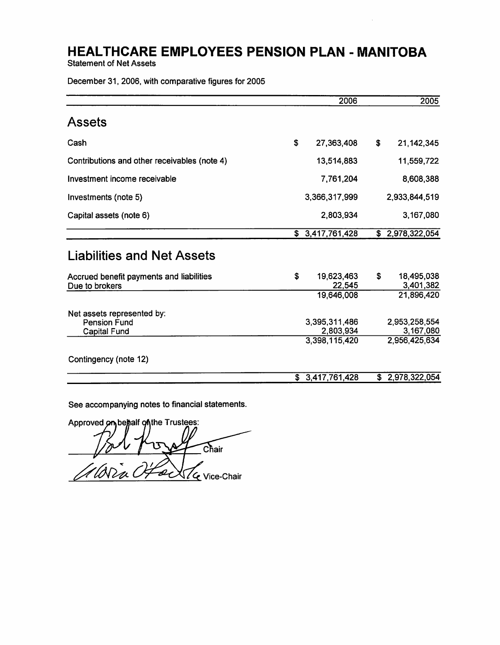**Statement of Net Assets** 

December 31, 2006, with comparative figures for 2005

|                                                                   | 2006                                        |    | 2005                                        |
|-------------------------------------------------------------------|---------------------------------------------|----|---------------------------------------------|
| Assets                                                            |                                             |    |                                             |
| Cash                                                              | \$<br>27,363,408                            | \$ | 21, 142, 345                                |
| Contributions and other receivables (note 4)                      | 13,514,883                                  |    | 11,559,722                                  |
| Investment income receivable                                      | 7,761,204                                   |    | 8,608,388                                   |
| Investments (note 5)                                              | 3,366,317,999                               |    | 2,933,844,519                               |
| Capital assets (note 6)                                           | 2,803,934                                   |    | 3,167,080                                   |
|                                                                   | \$3,417,761,428                             |    | \$2,978,322,054                             |
| <b>Liabilities and Net Assets</b>                                 |                                             |    |                                             |
| Accrued benefit payments and liabilities<br>Due to brokers        | \$<br>19,623,463<br>22,545                  | S  | 18,495,038<br>3,401,382                     |
|                                                                   | 19,646,008                                  |    | 21,896,420                                  |
| Net assets represented by:<br><b>Pension Fund</b><br>Capital Fund | 3,395,311,486<br>2,803,934<br>3,398,115,420 |    | 2,953,258,554<br>3,167,080<br>2,956,425,634 |
| Contingency (note 12)                                             |                                             |    |                                             |
|                                                                   | \$3,417,761,428                             |    | \$ 2,978,322,054                            |

See accompanying notes to financial statements.

Approved on behalf on the Trustees: Chair .<br>Wara ad LG Vice-Chair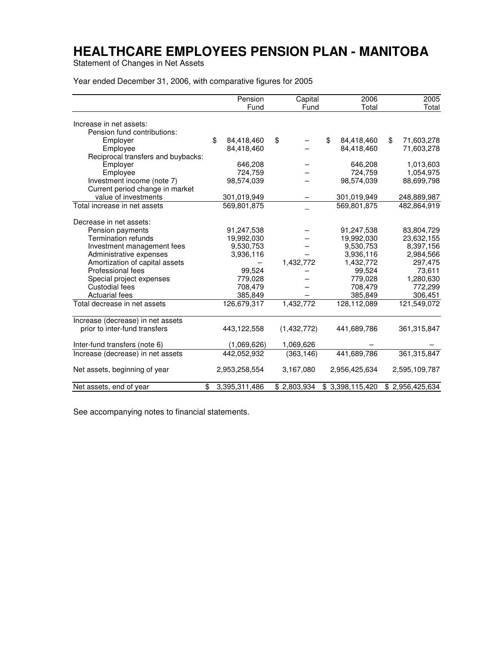Statement of Changes in Net Assets

Year ended December 31, 2006, with comparative figures for 2005

|                                    | Pension             | Capital     | 2006             | 2005             |
|------------------------------------|---------------------|-------------|------------------|------------------|
|                                    | Fund                | Fund        | Total            | Total            |
| Increase in net assets:            |                     |             |                  |                  |
| Pension fund contributions:        |                     |             |                  |                  |
| Employer                           | \$<br>84,418,460    | \$          | \$<br>84,418,460 | \$<br>71,603,278 |
| Employee                           | 84,418,460          |             | 84,418,460       | 71,603,278       |
| Reciprocal transfers and buybacks: |                     |             |                  |                  |
| Employer                           | 646,208             |             | 646,208          | 1,013,603        |
| Employee                           | 724,759             |             | 724,759          | 1,054,975        |
| Investment income (note 7)         | 98,574,039          |             | 98,574,039       | 88,699,798       |
| Current period change in market    |                     |             |                  |                  |
| value of investments               | 301,019,949         |             | 301,019,949      | 248,889,987      |
| Total increase in net assets       | 569.801.875         |             | 569.801.875      | 482,864,919      |
|                                    |                     |             |                  |                  |
| Decrease in net assets:            |                     |             |                  |                  |
| Pension payments                   | 91,247,538          |             | 91,247,538       | 83,804,729       |
| Termination refunds                | 19,992,030          |             | 19,992,030       | 23,632,155       |
| Investment management fees         | 9,530,753           |             | 9,530,753        | 8,397,156        |
| Administrative expenses            | 3,936,116           |             | 3,936,116        | 2,984,566        |
| Amortization of capital assets     |                     | 1,432,772   | 1,432,772        | 297,475          |
| Professional fees                  | 99,524              |             | 99,524           | 73,611           |
| Special project expenses           | 779,028             |             | 779,028          | 1,280,630        |
| Custodial fees                     | 708,479             |             | 708,479          | 772,299          |
| <b>Actuarial fees</b>              | 385,849             |             | 385,849          | 306,451          |
| Total decrease in net assets       | 126,679,317         | 1,432,772   | 128,112,089      | 121,549,072      |
| Increase (decrease) in net assets  |                     |             |                  |                  |
| prior to inter-fund transfers      | 443,122,558         | (1,432,772) | 441,689,786      | 361,315,847      |
| Inter-fund transfers (note 6)      | (1,069,626)         | 1,069,626   |                  |                  |
| Increase (decrease) in net assets  | 442,052,932         | (363, 146)  | 441.689.786      | 361,315,847      |
| Net assets, beginning of year      | 2,953,258,554       | 3,167,080   | 2,956,425,634    | 2,595,109,787    |
| Net assets, end of year            | \$<br>3,395,311,486 | \$2,803,934 | \$3,398,115,420  | \$2,956,425,634  |

See accompanying notes to financial statements.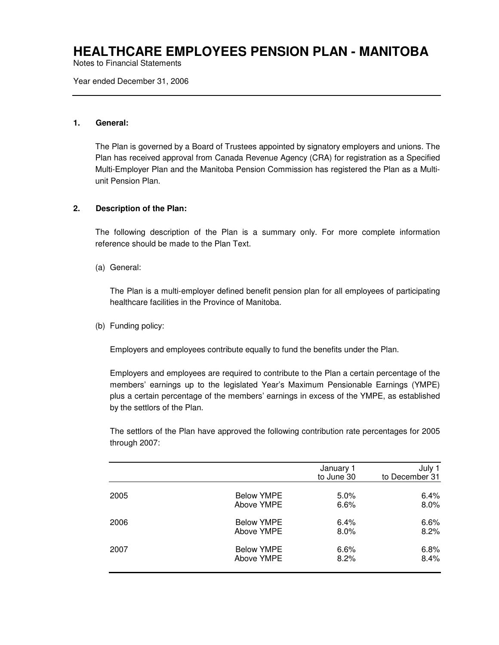Notes to Financial Statements

Year ended December 31, 2006

#### **1. General:**

The Plan is governed by a Board of Trustees appointed by signatory employers and unions. The Plan has received approval from Canada Revenue Agency (CRA) for registration as a Specified Multi-Employer Plan and the Manitoba Pension Commission has registered the Plan as a Multiunit Pension Plan.

### **2. Description of the Plan:**

The following description of the Plan is a summary only. For more complete information reference should be made to the Plan Text.

(a) General:

The Plan is a multi-employer defined benefit pension plan for all employees of participating healthcare facilities in the Province of Manitoba.

(b) Funding policy:

Employers and employees contribute equally to fund the benefits under the Plan.

Employers and employees are required to contribute to the Plan a certain percentage of the members' earnings up to the legislated Year's Maximum Pensionable Earnings (YMPE) plus a certain percentage of the members' earnings in excess of the YMPE, as established by the settlors of the Plan.

The settlors of the Plan have approved the following contribution rate percentages for 2005 through 2007:

|      |                   | January 1<br>to June 30 | July 1<br>to December 31 |
|------|-------------------|-------------------------|--------------------------|
| 2005 | <b>Below YMPE</b> | $5.0\%$                 | 6.4%                     |
|      | Above YMPE        | 6.6%                    | 8.0%                     |
| 2006 | <b>Below YMPE</b> | 6.4%                    | 6.6%                     |
|      | Above YMPE        | $8.0\%$                 | 8.2%                     |
| 2007 | <b>Below YMPE</b> | 6.6%                    | 6.8%                     |
|      | Above YMPE        | 8.2%                    | 8.4%                     |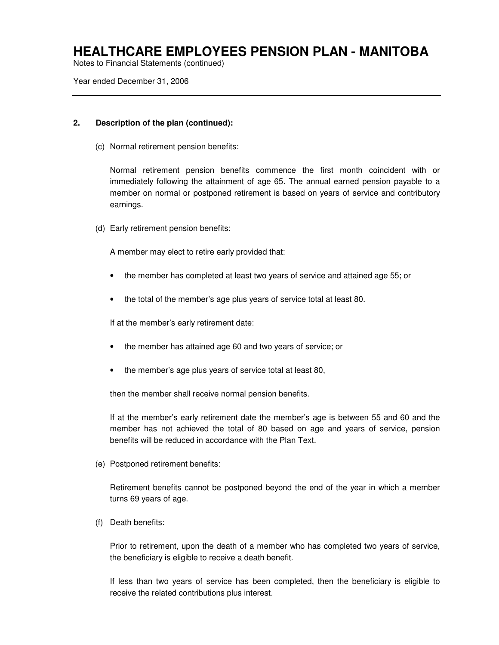Notes to Financial Statements (continued)

Year ended December 31, 2006

#### **2. Description of the plan (continued):**

(c) Normal retirement pension benefits:

Normal retirement pension benefits commence the first month coincident with or immediately following the attainment of age 65. The annual earned pension payable to a member on normal or postponed retirement is based on years of service and contributory earnings.

(d) Early retirement pension benefits:

A member may elect to retire early provided that:

- the member has completed at least two years of service and attained age 55; or
- the total of the member's age plus years of service total at least 80.

If at the member's early retirement date:

- the member has attained age 60 and two years of service; or
- the member's age plus years of service total at least 80,

then the member shall receive normal pension benefits.

If at the member's early retirement date the member's age is between 55 and 60 and the member has not achieved the total of 80 based on age and years of service, pension benefits will be reduced in accordance with the Plan Text.

(e) Postponed retirement benefits:

Retirement benefits cannot be postponed beyond the end of the year in which a member turns 69 years of age.

(f) Death benefits:

Prior to retirement, upon the death of a member who has completed two years of service, the beneficiary is eligible to receive a death benefit.

If less than two years of service has been completed, then the beneficiary is eligible to receive the related contributions plus interest.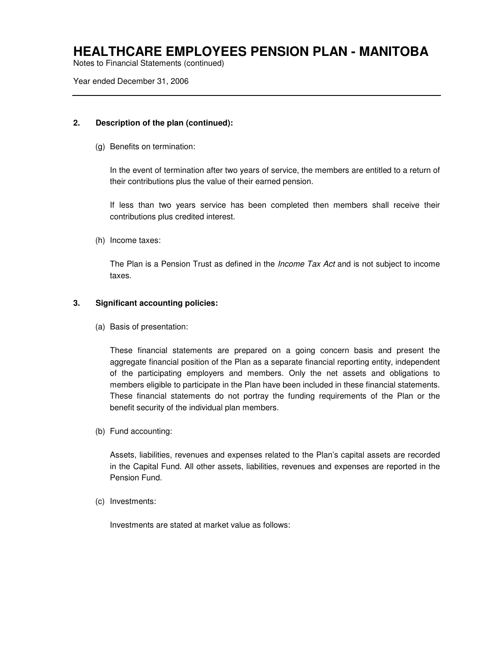Notes to Financial Statements (continued)

Year ended December 31, 2006

### **2. Description of the plan (continued):**

(g) Benefits on termination:

In the event of termination after two years of service, the members are entitled to a return of their contributions plus the value of their earned pension.

If less than two years service has been completed then members shall receive their contributions plus credited interest.

(h) Income taxes:

The Plan is a Pension Trust as defined in the *Income Tax Act* and is not subject to income taxes.

### **3. Significant accounting policies:**

(a) Basis of presentation:

These financial statements are prepared on a going concern basis and present the aggregate financial position of the Plan as a separate financial reporting entity, independent of the participating employers and members. Only the net assets and obligations to members eligible to participate in the Plan have been included in these financial statements. These financial statements do not portray the funding requirements of the Plan or the benefit security of the individual plan members.

(b) Fund accounting:

Assets, liabilities, revenues and expenses related to the Plan's capital assets are recorded in the Capital Fund. All other assets, liabilities, revenues and expenses are reported in the Pension Fund.

(c) Investments:

Investments are stated at market value as follows: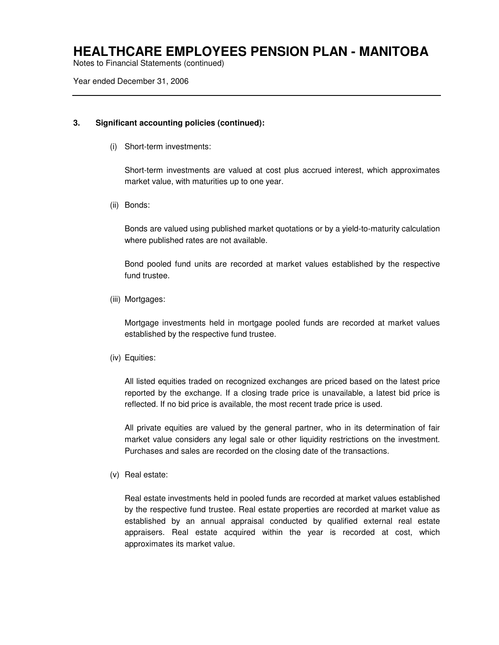Notes to Financial Statements (continued)

Year ended December 31, 2006

#### **3. Significant accounting policies (continued):**

(i) Short-term investments:

Short-term investments are valued at cost plus accrued interest, which approximates market value, with maturities up to one year.

(ii) Bonds:

Bonds are valued using published market quotations or by a yield-to-maturity calculation where published rates are not available.

Bond pooled fund units are recorded at market values established by the respective fund trustee.

(iii) Mortgages:

Mortgage investments held in mortgage pooled funds are recorded at market values established by the respective fund trustee.

(iv) Equities:

All listed equities traded on recognized exchanges are priced based on the latest price reported by the exchange. If a closing trade price is unavailable, a latest bid price is reflected. If no bid price is available, the most recent trade price is used.

All private equities are valued by the general partner, who in its determination of fair market value considers any legal sale or other liquidity restrictions on the investment. Purchases and sales are recorded on the closing date of the transactions.

(v) Real estate:

Real estate investments held in pooled funds are recorded at market values established by the respective fund trustee. Real estate properties are recorded at market value as established by an annual appraisal conducted by qualified external real estate appraisers. Real estate acquired within the year is recorded at cost, which approximates its market value.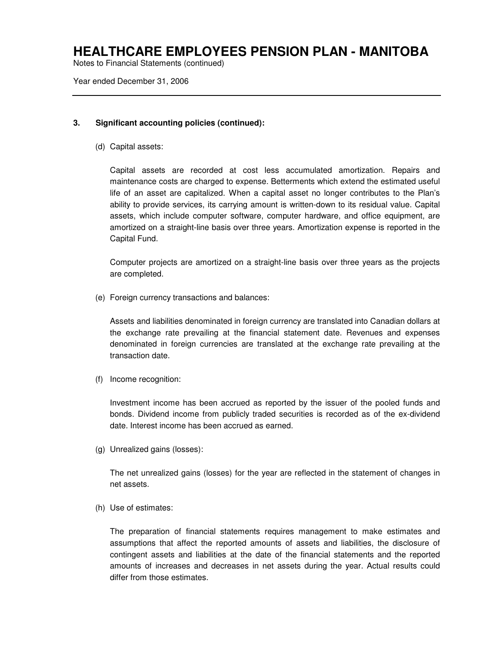Notes to Financial Statements (continued)

Year ended December 31, 2006

#### **3. Significant accounting policies (continued):**

(d) Capital assets:

Capital assets are recorded at cost less accumulated amortization. Repairs and maintenance costs are charged to expense. Betterments which extend the estimated useful life of an asset are capitalized. When a capital asset no longer contributes to the Plan's ability to provide services, its carrying amount is written-down to its residual value. Capital assets, which include computer software, computer hardware, and office equipment, are amortized on a straight-line basis over three years. Amortization expense is reported in the Capital Fund.

Computer projects are amortized on a straight-line basis over three years as the projects are completed.

(e) Foreign currency transactions and balances:

Assets and liabilities denominated in foreign currency are translated into Canadian dollars at the exchange rate prevailing at the financial statement date. Revenues and expenses denominated in foreign currencies are translated at the exchange rate prevailing at the transaction date.

(f) Income recognition:

Investment income has been accrued as reported by the issuer of the pooled funds and bonds. Dividend income from publicly traded securities is recorded as of the ex-dividend date. Interest income has been accrued as earned.

(g) Unrealized gains (losses):

The net unrealized gains (losses) for the year are reflected in the statement of changes in net assets.

(h) Use of estimates:

The preparation of financial statements requires management to make estimates and assumptions that affect the reported amounts of assets and liabilities, the disclosure of contingent assets and liabilities at the date of the financial statements and the reported amounts of increases and decreases in net assets during the year. Actual results could differ from those estimates.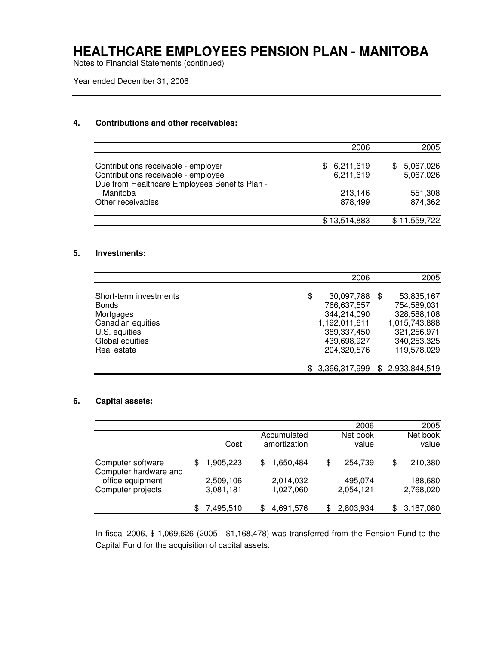Notes to Financial Statements (continued)

Year ended December 31, 2006

#### **4. Contributions and other receivables:**

|                                                                                                                             | 2006                          | 2005                          |
|-----------------------------------------------------------------------------------------------------------------------------|-------------------------------|-------------------------------|
| Contributions receivable - employer<br>Contributions receivable - employee<br>Due from Healthcare Employees Benefits Plan - | 6,211,619<br>\$.<br>6,211,619 | 5,067,026<br>SS.<br>5,067,026 |
| Manitoba<br>Other receivables                                                                                               | 213,146<br>878.499            | 551,308<br>874,362            |
|                                                                                                                             | \$13,514,883                  | \$11,559,722                  |

#### **5. Investments:**

|                        |                     | 2006 | 2005          |
|------------------------|---------------------|------|---------------|
|                        |                     |      |               |
| Short-term investments | 30,097,788<br>\$    | \$.  | 53,835,167    |
| <b>Bonds</b>           | 766,637,557         |      | 754,589,031   |
| Mortgages              | 344,214,090         |      | 328,588,108   |
| Canadian equities      | 1,192,011,611       |      | 1,015,743,888 |
| U.S. equities          | 389,337,450         |      | 321,256,971   |
| Global equities        | 439,698,927         |      | 340,253,325   |
| Real estate            | 204,320,576         |      | 119,578,029   |
|                        |                     |      |               |
|                        | 3,366,317,999<br>\$ | \$.  | 2,933,844,519 |

#### **6. Capital assets:**

|                                            |                        |                        |    | 2006                 | 2005                 |
|--------------------------------------------|------------------------|------------------------|----|----------------------|----------------------|
|                                            |                        | Accumulated            |    | Net book             | Net book             |
|                                            | Cost                   | amortization           |    | value                | value                |
| Computer software<br>Computer hardware and | \$<br>1,905,223        | \$<br>1,650,484        | \$ | 254,739              | \$<br>210,380        |
| office equipment<br>Computer projects      | 2,509,106<br>3,081,181 | 2,014,032<br>1,027,060 |    | 495,074<br>2,054,121 | 188,680<br>2,768,020 |
|                                            | 7,495,510              | \$<br>4,691,576        | ß. | 2,803,934            | \$<br>3,167,080      |

In fiscal 2006, \$ 1,069,626 (2005 - \$1,168,478) was transferred from the Pension Fund to the Capital Fund for the acquisition of capital assets.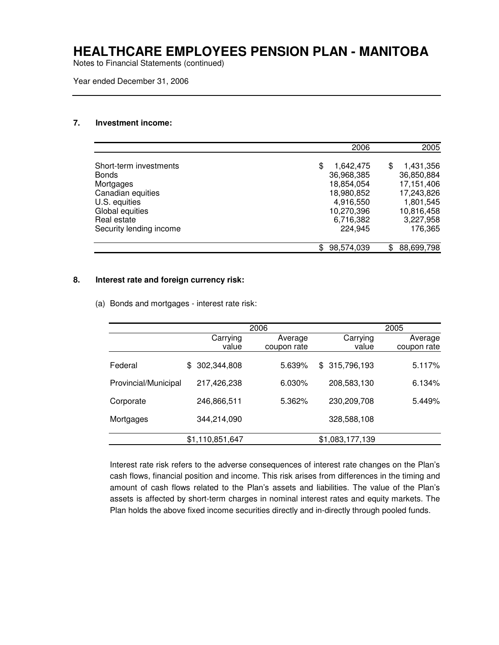Notes to Financial Statements (continued)

Year ended December 31, 2006

#### **7. Investment income:**

|                         |            | 2006      | 2005           |
|-------------------------|------------|-----------|----------------|
| Short-term investments  | S          | 1,642,475 | 1,431,356<br>S |
| <b>Bonds</b>            | 36,968,385 |           | 36,850,884     |
| Mortgages               | 18,854,054 |           | 17,151,406     |
| Canadian equities       | 18,980,852 |           | 17,243,826     |
| U.S. equities           |            | 4,916,550 | 1,801,545      |
| Global equities         | 10,270,396 |           | 10,816,458     |
| Real estate             |            | 6,716,382 | 3,227,958      |
| Security lending income |            | 224,945   | 176,365        |
|                         |            |           |                |
|                         | 98,574,039 |           | 88,699,798     |

#### **8. Interest rate and foreign currency risk:**

(a) Bonds and mortgages - interest rate risk:

|                      |     |                 | 2006 |             |                 | 2005 |             |
|----------------------|-----|-----------------|------|-------------|-----------------|------|-------------|
|                      |     | Carrying        |      | Average     | Carrying        |      | Average     |
|                      |     | value           |      | coupon rate | value           |      | coupon rate |
| Federal              | \$. | 302,344,808     |      | 5.639%      | \$315,796,193   |      | 5.117%      |
| Provincial/Municipal |     | 217,426,238     |      | 6.030%      | 208,583,130     |      | 6.134%      |
| Corporate            |     | 246,866,511     |      | 5.362%      | 230,209,708     |      | 5.449%      |
| Mortgages            |     | 344,214,090     |      |             | 328,588,108     |      |             |
|                      |     | \$1,110,851,647 |      |             | \$1,083,177,139 |      |             |

Interest rate risk refers to the adverse consequences of interest rate changes on the Plan's cash flows, financial position and income. This risk arises from differences in the timing and amount of cash flows related to the Plan's assets and liabilities. The value of the Plan's assets is affected by short-term charges in nominal interest rates and equity markets. The Plan holds the above fixed income securities directly and in-directly through pooled funds.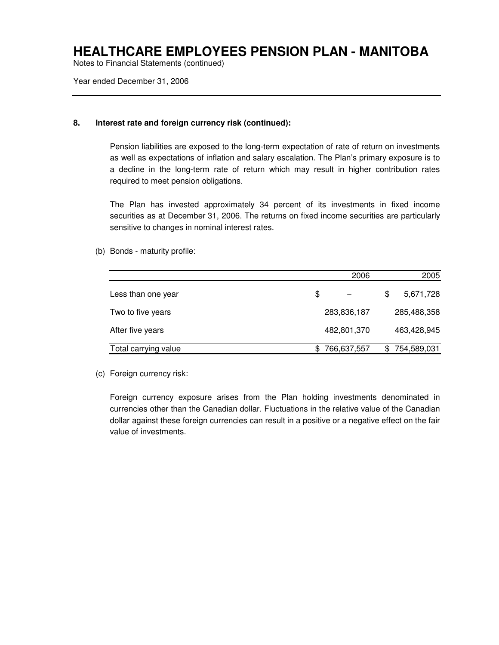Notes to Financial Statements (continued)

Year ended December 31, 2006

#### **8. Interest rate and foreign currency risk (continued):**

Pension liabilities are exposed to the long-term expectation of rate of return on investments as well as expectations of inflation and salary escalation. The Plan's primary exposure is to a decline in the long-term rate of return which may result in higher contribution rates required to meet pension obligations.

The Plan has invested approximately 34 percent of its investments in fixed income securities as at December 31, 2006. The returns on fixed income securities are particularly sensitive to changes in nominal interest rates.

(b) Bonds - maturity profile:

|                      | 2006              | 2005            |
|----------------------|-------------------|-----------------|
| Less than one year   | \$                | \$<br>5,671,728 |
| Two to five years    | 283,836,187       | 285,488,358     |
| After five years     | 482,801,370       | 463,428,945     |
| Total carrying value | \$<br>766,637,557 | 754,589,031     |

(c) Foreign currency risk:

Foreign currency exposure arises from the Plan holding investments denominated in currencies other than the Canadian dollar. Fluctuations in the relative value of the Canadian dollar against these foreign currencies can result in a positive or a negative effect on the fair value of investments.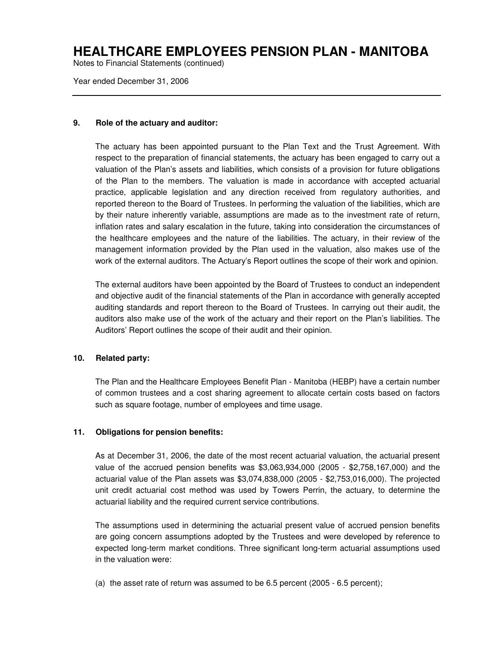Notes to Financial Statements (continued)

Year ended December 31, 2006

#### **9. Role of the actuary and auditor:**

The actuary has been appointed pursuant to the Plan Text and the Trust Agreement. With respect to the preparation of financial statements, the actuary has been engaged to carry out a valuation of the Plan's assets and liabilities, which consists of a provision for future obligations of the Plan to the members. The valuation is made in accordance with accepted actuarial practice, applicable legislation and any direction received from regulatory authorities, and reported thereon to the Board of Trustees. In performing the valuation of the liabilities, which are by their nature inherently variable, assumptions are made as to the investment rate of return, inflation rates and salary escalation in the future, taking into consideration the circumstances of the healthcare employees and the nature of the liabilities. The actuary, in their review of the management information provided by the Plan used in the valuation, also makes use of the work of the external auditors. The Actuary's Report outlines the scope of their work and opinion.

The external auditors have been appointed by the Board of Trustees to conduct an independent and objective audit of the financial statements of the Plan in accordance with generally accepted auditing standards and report thereon to the Board of Trustees. In carrying out their audit, the auditors also make use of the work of the actuary and their report on the Plan's liabilities. The Auditors' Report outlines the scope of their audit and their opinion.

### **10. Related party:**

The Plan and the Healthcare Employees Benefit Plan - Manitoba (HEBP) have a certain number of common trustees and a cost sharing agreement to allocate certain costs based on factors such as square footage, number of employees and time usage.

### **11. Obligations for pension benefits:**

As at December 31, 2006, the date of the most recent actuarial valuation, the actuarial present value of the accrued pension benefits was \$3,063,934,000 (2005 - \$2,758,167,000) and the actuarial value of the Plan assets was \$3,074,838,000 (2005 - \$2,753,016,000). The projected unit credit actuarial cost method was used by Towers Perrin, the actuary, to determine the actuarial liability and the required current service contributions.

The assumptions used in determining the actuarial present value of accrued pension benefits are going concern assumptions adopted by the Trustees and were developed by reference to expected long-term market conditions. Three significant long-term actuarial assumptions used in the valuation were:

(a) the asset rate of return was assumed to be 6.5 percent (2005 - 6.5 percent);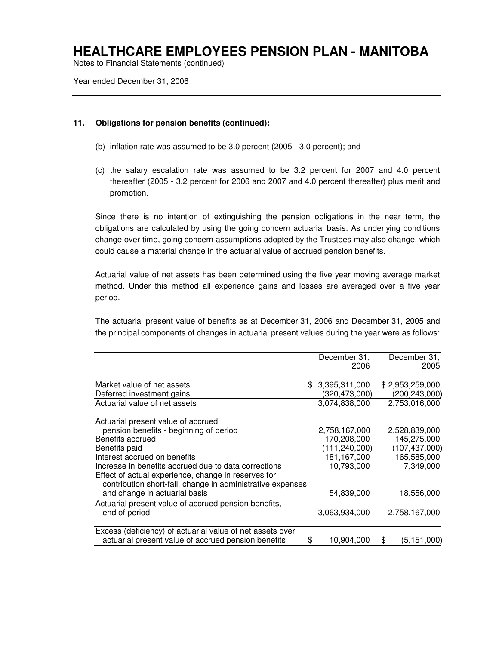Notes to Financial Statements (continued)

Year ended December 31, 2006

#### **11. Obligations for pension benefits (continued):**

- (b) inflation rate was assumed to be 3.0 percent (2005 3.0 percent); and
- (c) the salary escalation rate was assumed to be 3.2 percent for 2007 and 4.0 percent thereafter (2005 - 3.2 percent for 2006 and 2007 and 4.0 percent thereafter) plus merit and promotion.

Since there is no intention of extinguishing the pension obligations in the near term, the obligations are calculated by using the going concern actuarial basis. As underlying conditions change over time, going concern assumptions adopted by the Trustees may also change, which could cause a material change in the actuarial value of accrued pension benefits.

Actuarial value of net assets has been determined using the five year moving average market method. Under this method all experience gains and losses are averaged over a five year period.

The actuarial present value of benefits as at December 31, 2006 and December 31, 2005 and the principal components of changes in actuarial present values during the year were as follows:

|                                                            | December 31,<br>2006 | December 31,<br>2005 |
|------------------------------------------------------------|----------------------|----------------------|
|                                                            |                      |                      |
| Market value of net assets                                 | \$3,395,311,000      | \$2,953,259,000      |
| Deferred investment gains                                  | (320,473,000)        | (200, 243, 000)      |
| Actuarial value of net assets                              | 3,074,838,000        | 2,753,016,000        |
| Actuarial present value of accrued                         |                      |                      |
| pension benefits - beginning of period                     | 2,758,167,000        | 2,528,839,000        |
| Benefits accrued                                           | 170,208,000          | 145,275,000          |
| Benefits paid                                              | (111, 240, 000)      | (107, 437, 000)      |
| Interest accrued on benefits                               | 181,167,000          | 165,585,000          |
| Increase in benefits accrued due to data corrections       | 10,793,000           | 7,349,000            |
| Effect of actual experience, change in reserves for        |                      |                      |
| contribution short-fall, change in administrative expenses |                      |                      |
| and change in actuarial basis                              | 54,839,000           | 18,556,000           |
| Actuarial present value of accrued pension benefits,       |                      |                      |
| end of period                                              | 3,063,934,000        | 2,758,167,000        |
| Excess (deficiency) of actuarial value of net assets over  |                      |                      |
| actuarial present value of accrued pension benefits        | \$<br>10,904,000     | \$<br>(5, 151, 000)  |